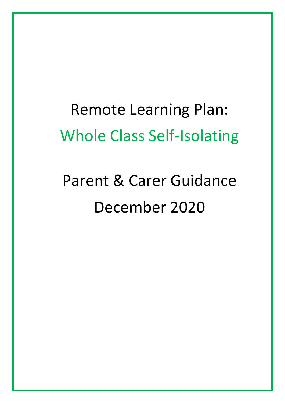## Remote Learning Plan: Whole Class Self-Isolating

# Parent & Carer Guidance December 2020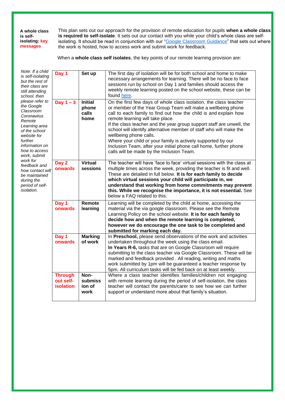**A whole class is selfisolating: key messages**

This plan sets out our approach for the provision of remote education for pupils **when a whole class is required to self-isolate**. It sets out our contact with you while your child's whole class are self-isolating. It should be read in conjunction with our ["Google Classroom](https://www.fairfield.beds.sch.uk/assets/files/About_the_school/PARENT%20%26%20CARER%20GUIDANCE%20Remote%20Education%20Plan%202020%20(1)%20Version%20for%20Website.pdf) Guidance" that sets out where the work is hosted, how to access work and submit work for feedback.

When a **whole class self isolates**, the key points of our remote learning provision are:

| Note: If a child<br>is self-isolating<br>but the rest of<br>their class are<br>still attending<br>school, then<br>please refer to<br>the Google<br>Classroom<br>Coronavirus<br>Remote<br>Learning area<br>of the school<br>website for<br>further<br>information on<br>how to access<br>work, submit<br>work for<br>feedback and<br>how contact will<br>be maintained<br>during the<br>period of self-<br>isolation. | Day 1                                    | Set up                                   | The first day of isolation will be for both school and home to make<br>necessary arrangements for learning. There will be no face to face<br>sessions run by school on Day 1 and families should access the<br>weekly remote learning posted on the school website, these can be<br>found here.                                                                                                                                                                                                                                                                                                      |
|----------------------------------------------------------------------------------------------------------------------------------------------------------------------------------------------------------------------------------------------------------------------------------------------------------------------------------------------------------------------------------------------------------------------|------------------------------------------|------------------------------------------|------------------------------------------------------------------------------------------------------------------------------------------------------------------------------------------------------------------------------------------------------------------------------------------------------------------------------------------------------------------------------------------------------------------------------------------------------------------------------------------------------------------------------------------------------------------------------------------------------|
|                                                                                                                                                                                                                                                                                                                                                                                                                      | Day $1 - 3$                              | <b>Initial</b><br>phone<br>calls<br>home | On the first few days of whole class isolation, the class teacher<br>or member of the Year Group Team will make a wellbeing phone<br>call to each family to find out how the child is and explain how<br>remote learning will take place.<br>If the class teacher and the year group support staff are unwell, the<br>school will identify alternative member of staff who will make the<br>wellbeing phone calls.<br>Where your child or your family is actively supported by our<br>Inclusion Team, after your initial phone call home, further phone<br>calls will be made by the Inclusion Team. |
|                                                                                                                                                                                                                                                                                                                                                                                                                      | Day 2<br>onwards                         | <b>Virtual</b><br>sessions               | The teacher will have 'face to face' virtual sessions with the class at<br>multiple times across the week, providing the teacher is fit and well.<br>These are detailed in full below. It is for each family to decide<br>which virtual sessions your child will participate in, we<br>understand that working from home commitments may prevent<br>this. While we recognise the importance, it is not essential. See<br>below a FAQ related to this.                                                                                                                                                |
|                                                                                                                                                                                                                                                                                                                                                                                                                      | Day 1<br>onwards                         | Remote<br>learning                       | Learning will be completed by the child at home, accessing the<br>material via the via google classroom. Please see the Remote<br>Learning Policy on the school website. It is for each family to<br>decide how and when the remote learning is completed,<br>however we do encourage the one task to be completed and<br>submitted for marking each day.                                                                                                                                                                                                                                            |
|                                                                                                                                                                                                                                                                                                                                                                                                                      | Day 1<br>onwards                         | <b>Marking</b><br>of work                | In Preschool, please send observations of the work and activities<br>undertaken throughout the week using the class email.<br>In Years R-6, tasks that are on Google Classroom will require<br>submitting to the class teacher via Google Classroom. These will be<br>marked and feedback provided. All reading, writing and maths<br>work submitted by 1pm will be guaranteed a teacher response by<br>5pm. All curriculum tasks will be fed back on at least weekly.                                                                                                                               |
|                                                                                                                                                                                                                                                                                                                                                                                                                      | <b>Through</b><br>out self-<br>isolation | Non-<br>submiss<br>ion of<br>work        | Where a class teacher identifies families/children not engaging<br>with remote learning during the period of self-isolation, the class<br>teacher will contact the parents/carer to see how we can further<br>support or understand more about that family's situation.                                                                                                                                                                                                                                                                                                                              |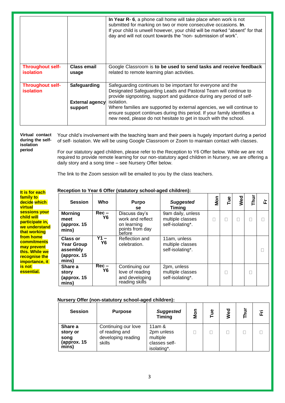|                                             |                                                   | In Year R- 6, a phone call home will take place when work is not<br>submitted for marking on two or more consecutive occasions. In.<br>If your child is unwell however, your child will be marked "absent" for that<br>day and will not count towards the "non- submission of work".                                                                                                                                                             |
|---------------------------------------------|---------------------------------------------------|--------------------------------------------------------------------------------------------------------------------------------------------------------------------------------------------------------------------------------------------------------------------------------------------------------------------------------------------------------------------------------------------------------------------------------------------------|
| <b>Throughout self-</b><br><i>isolation</i> | <b>Class email</b><br>usage                       | Google Classroom is to be used to send tasks and receive feedback<br>related to remote learning plan activities.                                                                                                                                                                                                                                                                                                                                 |
| <b>Throughout self-</b><br><b>isolation</b> | Safeguarding<br><b>External agency</b><br>support | Safeguarding continues to be important for everyone and the<br>Designated Safeguarding Leads and Pastoral Team will continue to<br>provide signposting, support and guidance during any period of self-<br>isolation.<br>Where families are supported by external agencies, we will continue to<br>ensure support continues during this period. If your family identifies a<br>new need, please do not hesitate to get in touch with the school. |

**Virtual contact during the selfisolation period** Your child's involvement with the teaching team and their peers is hugely important during a period of self- isolation. We will be using Google Classroom or Zoom to maintain contact with classes.

For our statutory aged children, please refer to the Reception to Y6 Offer below. While we are not required to provide remote learning for our non-statutory aged children in Nursery, we are offering a daily story and a song time – see Nursery Offer below.

The link to the Zoom session will be emailed to you by the class teachers.

**It is for each family to decide which virtual sessions your child will participate in, we understand that working from home commitments may prevent this. While we recognise the importance, it is not essential.**

## **Reception to Year 6 Offer (statutory school-aged children):**

| <b>Session</b>                                                    | <b>Who</b>                | <b>Purpo</b><br>se.                                                           | <b>Suggested</b><br><b>Timing</b>                         | Mon | Гue | Wed | Thur | 正 |
|-------------------------------------------------------------------|---------------------------|-------------------------------------------------------------------------------|-----------------------------------------------------------|-----|-----|-----|------|---|
| <b>Morning</b><br>meet<br>(approx. 15<br>mins)                    | $Rec -$<br>Y6             | Discuss day's<br>work and reflect<br>on learning<br>points from day<br>before | 9am daily, unless<br>multiple classes<br>self-isolating*. | Г   |     |     |      |   |
| Class or<br><b>Year Group</b><br>assembly<br>(approx. 15<br>mins) | $Y1 -$<br><b>Y6</b>       | Reflection and<br>celebration.                                                | 11am, unless<br>multiple classes<br>self-isolating*.      |     |     |     |      |   |
| Share a<br>story<br>(approx. 15<br>mins)                          | $\overline{Re}$ c –<br>Y6 | Continuing our<br>love of reading<br>and developing<br>reading skills         | 2pm, unless<br>multiple classes<br>self-isolating*.       |     |     |     |      |   |

## **Nursery Offer (non-statutory school-aged children):**

| <b>Session</b>                                      | <b>Purpose</b>                                                        | <b>Suggested</b><br><b>Timing</b>                                   | Mon | Tue | Wed | 호<br>⊢ | 置 |
|-----------------------------------------------------|-----------------------------------------------------------------------|---------------------------------------------------------------------|-----|-----|-----|--------|---|
| Share a<br>story or<br>song<br>(approx. 15<br>mins) | Continuing our love<br>of reading and<br>developing reading<br>skills | 11am $\&$<br>2pm unless<br>multiple<br>classes self-<br>isolating*. |     |     |     |        |   |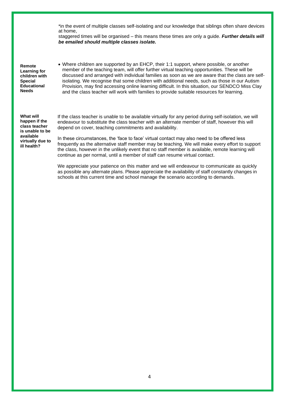\*in the event of multiple classes self-isolating and our knowledge that siblings often share devices at home,

staggered times will be organised – this means these times are only a guide. *Further details will be emailed should multiple classes isolate.*

**Remote Learning for children with Special Educational Needs**

• Where children are supported by an EHCP, their 1:1 support, where possible, or another member of the teaching team, will offer further virtual teaching opportunities. These will be discussed and arranged with individual families as soon as we are aware that the class are selfisolating. We recognise that some children with additional needs, such as those in our Autism Provision, may find accessing online learning difficult. In this situation, our SENDCO Miss Clay and the class teacher will work with families to provide suitable resources for learning.

**What will happen if the class teacher is unable to be available virtually due to ill health?**

If the class teacher is unable to be available virtually for any period during self-isolation, we will endeavour to substitute the class teacher with an alternate member of staff, however this will depend on cover, teaching commitments and availability.

In these circumstances, the 'face to face' virtual contact may also need to be offered less frequently as the alternative staff member may be teaching. We will make every effort to support the class, however in the unlikely event that no staff member is available, remote learning will continue as per normal, until a member of staff can resume virtual contact.

We appreciate your patience on this matter and we will endeavour to communicate as quickly as possible any alternate plans. Please appreciate the availability of staff constantly changes in schools at this current time and school manage the scenario according to demands.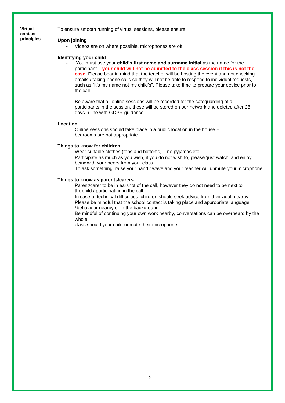**Virtual contact principles** To ensure smooth running of virtual sessions, please ensure:

### **Upon joining**

Videos are on where possible, microphones are off.

### **Identifying your child**

- You must use your **child's first name and surname initial** as the name for the participant – **your child will not be admitted to the class session if this is not the case.** Please bear in mind that the teacher will be hosting the event and not checking emails / taking phone calls so they will not be able to respond to individual requests, such as "it's my name not my child's". Please take time to prepare your device prior to the call.
- Be aware that all online sessions will be recorded for the safeguarding of all participants in the session, these will be stored on our network and deleted after 28 daysin line with GDPR guidance.

#### **Location**

- Online sessions should take place in a public location in the house – bedrooms are not appropriate.

#### **Things to know for children**

- Wear suitable clothes (tops and bottoms) no pyjamas etc.
- Participate as much as you wish, if you do not wish to, please 'just watch' and enjoy beingwith your peers from your class.
- To ask something, raise your hand / wave and your teacher will unmute your microphone.

#### **Things to know as parents/carers**

- Parent/carer to be in earshot of the call, however they do not need to be next to thechild / participating in the call.
- In case of technical difficulties, children should seek advice from their adult nearby.
- Please be mindful that the school contact is taking place and appropriate language /behaviour nearby or in the background.
- Be mindful of continuing your own work nearby, conversations can be overheard by the whole

class should your child unmute their microphone.